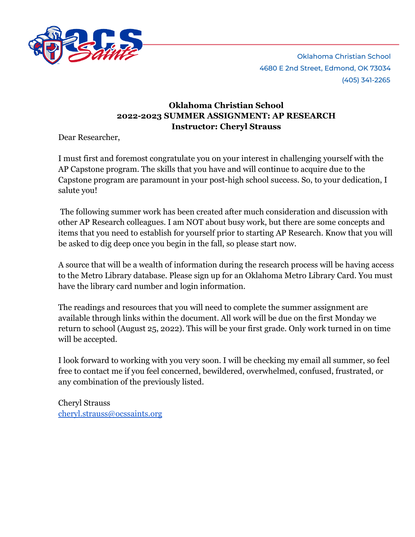

# **Oklahoma Christian School 2022-2023 SUMMER ASSIGNMENT: AP RESEARCH Instructor: Cheryl Strauss**

Dear Researcher,

I must first and foremost congratulate you on your interest in challenging yourself with the AP Capstone program. The skills that you have and will continue to acquire due to the Capstone program are paramount in your post-high school success. So, to your dedication, I salute you!

The following summer work has been created after much consideration and discussion with other AP Research colleagues. I am NOT about busy work, but there are some concepts and items that you need to establish for yourself prior to starting AP Research. Know that you will be asked to dig deep once you begin in the fall, so please start now.

A source that will be a wealth of information during the research process will be having access to the Metro Library database. Please sign up for an Oklahoma Metro Library Card. You must have the library card number and login information.

The readings and resources that you will need to complete the summer assignment are available through links within the document. All work will be due on the first Monday we return to school (August 25, 2022). This will be your first grade. Only work turned in on time will be accepted.

I look forward to working with you very soon. I will be checking my email all summer, so feel free to contact me if you feel concerned, bewildered, overwhelmed, confused, frustrated, or any combination of the previously listed.

Cheryl Strauss [cheryl.strauss@ocssaints.org](mailto:cheryl.strauss@ocssaints.org)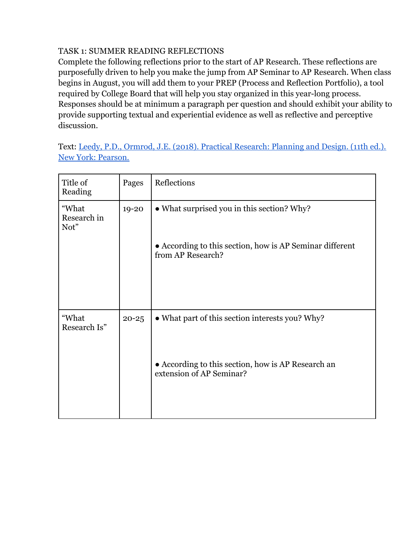#### TASK 1: SUMMER READING REFLECTIONS

Complete the following reflections prior to the start of AP Research. These reflections are purposefully driven to help you make the jump from AP Seminar to AP Research. When class begins in August, you will add them to your PREP (Process and Reflection Portfolio), a tool required by College Board that will help you stay organized in this year-long process. Responses should be at minimum a paragraph per question and should exhibit your ability to provide supporting textual and experiential evidence as well as reflective and perceptive discussion.

Text: [Leedy, P.D., Ormrod, J.E. \(2018\). Practical](https://pce-fet.com/common/library/books/51/2590_%5BPaul_D._Leedy,_Jeanne_Ellis_Ormrod%5D_Practical_Res(b-ok.org).pdf) Research: Planning and Design. (11th ed.). [New York: Pearson.](https://pce-fet.com/common/library/books/51/2590_%5BPaul_D._Leedy,_Jeanne_Ellis_Ormrod%5D_Practical_Res(b-ok.org).pdf)

| Pages     | Reflections                                                                    |
|-----------|--------------------------------------------------------------------------------|
| 19-20     | • What surprised you in this section? Why?                                     |
|           | • According to this section, how is AP Seminar different<br>from AP Research?  |
|           |                                                                                |
| $20 - 25$ | • What part of this section interests you? Why?                                |
|           | • According to this section, how is AP Research an<br>extension of AP Seminar? |
|           |                                                                                |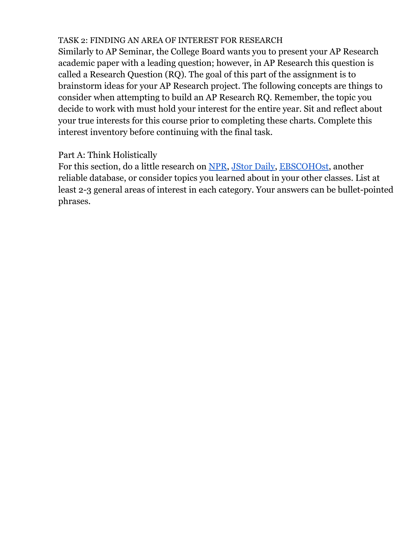# TASK 2: FINDING AN AREA OF INTEREST FOR RESEARCH

Similarly to AP Seminar, the College Board wants you to present your AP Research academic paper with a leading question; however, in AP Research this question is called a Research Question (RQ). The goal of this part of the assignment is to brainstorm ideas for your AP Research project. The following concepts are things to consider when attempting to build an AP Research RQ. Remember, the topic you decide to work with must hold your interest for the entire year. Sit and reflect about your true interests for this course prior to completing these charts. Complete this interest inventory before continuing with the final task.

# Part A: Think Holistically

For this section, do a little research on [NPR](https://www.npr.org/), [JStor](https://daily.jstor.org/) Daily, [EBSCOHOst](https://search.ebscohost.com/), another reliable database, or consider topics you learned about in your other classes. List at least 2-3 general areas of interest in each category. Your answers can be bullet-pointed phrases.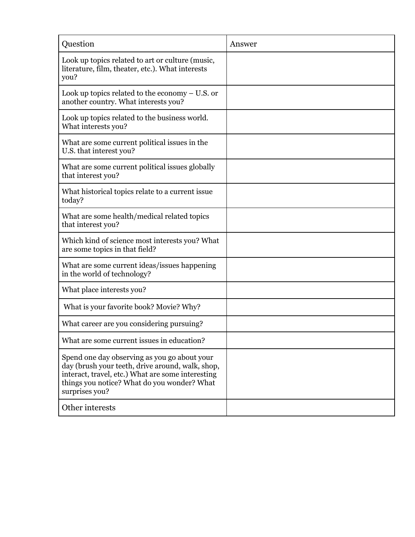| Question                                                                                                                                                                                                               | Answer |
|------------------------------------------------------------------------------------------------------------------------------------------------------------------------------------------------------------------------|--------|
| Look up topics related to art or culture (music,<br>literature, film, theater, etc.). What interests<br>you?                                                                                                           |        |
| Look up topics related to the economy $- U.S.$ or<br>another country. What interests you?                                                                                                                              |        |
| Look up topics related to the business world.<br>What interests you?                                                                                                                                                   |        |
| What are some current political issues in the<br>U.S. that interest you?                                                                                                                                               |        |
| What are some current political issues globally<br>that interest you?                                                                                                                                                  |        |
| What historical topics relate to a current issue<br>today?                                                                                                                                                             |        |
| What are some health/medical related topics<br>that interest you?                                                                                                                                                      |        |
| Which kind of science most interests you? What<br>are some topics in that field?                                                                                                                                       |        |
| What are some current ideas/issues happening<br>in the world of technology?                                                                                                                                            |        |
| What place interests you?                                                                                                                                                                                              |        |
| What is your favorite book? Movie? Why?                                                                                                                                                                                |        |
| What career are you considering pursuing?                                                                                                                                                                              |        |
| What are some current issues in education?                                                                                                                                                                             |        |
| Spend one day observing as you go about your<br>day (brush your teeth, drive around, walk, shop,<br>interact, travel, etc.) What are some interesting<br>things you notice? What do you wonder? What<br>surprises you? |        |
| Other interests                                                                                                                                                                                                        |        |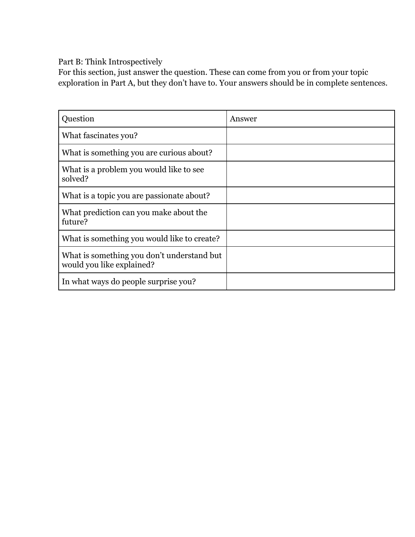Part B: Think Introspectively

For this section, just answer the question. These can come from you or from your topic exploration in Part A, but they don't have to. Your answers should be in complete sentences.

| Question                                                                | Answer |
|-------------------------------------------------------------------------|--------|
| What fascinates you?                                                    |        |
| What is something you are curious about?                                |        |
| What is a problem you would like to see<br>solved?                      |        |
| What is a topic you are passionate about?                               |        |
| What prediction can you make about the<br>future?                       |        |
| What is something you would like to create?                             |        |
| What is something you don't understand but<br>would you like explained? |        |
| In what ways do people surprise you?                                    |        |